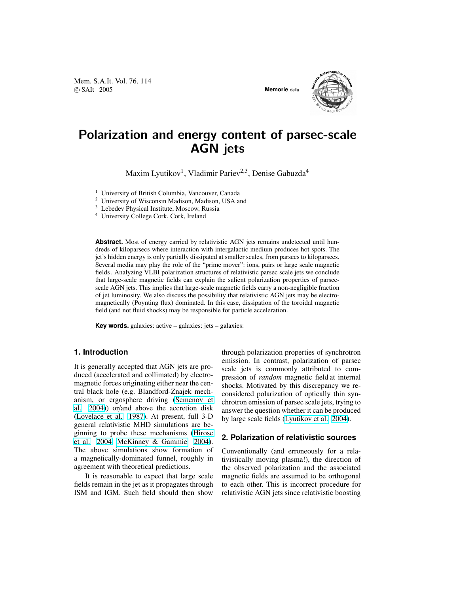Mem. S.A.It. Vol. 76, 114 c SAIt 2005 **Memorie** della



# Polarization and energy content of parsec-scale AGN jets

Maxim Lyutikov<sup>1</sup>, Vladimir Pariev<sup>2,3</sup>, Denise Gabuzda<sup>4</sup>

<sup>1</sup> University of British Columbia, Vancouver, Canada

<sup>2</sup> University of Wisconsin Madison, Madison, USA and

<sup>3</sup> Lebedev Physical Institute, Moscow, Russia

<sup>4</sup> University College Cork, Cork, Ireland

**Abstract.** Most of energy carried by relativistic AGN jets remains undetected until hundreds of kiloparsecs where interaction with intergalactic medium produces hot spots. The jet's hidden energy is only partially dissipated at smaller scales, from parsecs to kiloparsecs. Several media may play the role of the "prime mover": ions, pairs or large scale magnetic fields . Analyzing VLBI polarization structures of relativistic parsec scale jets we conclude that large-scale magnetic fields can explain the salient polarization properties of parsecscale AGN jets. This implies that large-scale magnetic fields carry a non-negligible fraction of jet luminosity. We also discuss the possibility that relativistic AGN jets may be electromagnetically (Poynting flux) dominated. In this case, dissipation of the toroidal magnetic field (and not fluid shocks) may be responsible for particle acceleration.

**Key words.** galaxies: active – galaxies: jets – galaxies:

## **1. Introduction**

It is generally accepted that AGN jets are produced (accelerated and collimated) by electromagnetic forces originating either near the central black hole (e.g. Blandford-Znajek mechanism, or ergosphere driving [\(Semenov et](#page-3-0) [al.](#page-3-0) [2004\)](#page-3-0)) or/and above the accretion disk [\(Lovelace et al.](#page-3-0) [1987\)](#page-3-0). At present, full 3-D general relativistic MHD simulations are beginning to probe these mechanisms [\(Hirose](#page-3-0) [et al.](#page-3-0) [2004;](#page-3-0) [McKinney & Gammie](#page-3-0) [2004\)](#page-3-0). The above simulations show formation of a magnetically-dominated funnel, roughly in agreement with theoretical predictions.

It is reasonable to expect that large scale fields remain in the jet as it propagates through ISM and IGM. Such field should then show through polarization properties of synchrotron emission. In contrast, polarization of parsec scale jets is commonly attributed to compression of *random* magnetic field at internal shocks. Motivated by this discrepancy we reconsidered polarization of optically thin synchrotron emission of parsec scale jets, trying to answer the question whether it can be produced by large scale fields [\(Lyutikov et al.](#page-3-0) [2004\)](#page-3-0).

## **2. Polarization of relativistic sources**

Conventionally (and erroneously for a relativistically moving plasma!), the direction of the observed polarization and the associated magnetic fields are assumed to be orthogonal to each other. This is incorrect procedure for relativistic AGN jets since relativistic boosting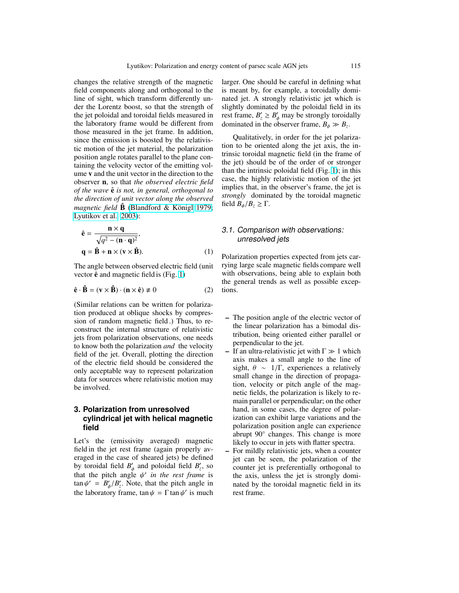changes the relative strength of the magnetic field components along and orthogonal to the line of sight, which transform differently under the Lorentz boost, so that the strength of the jet poloidal and toroidal fields measured in the laboratory frame would be different from those measured in the jet frame. In addition, since the emission is boosted by the relativistic motion of the jet material, the polarization position angle rotates parallel to the plane containing the velocity vector of the emitting volume v and the unit vector in the direction to the observer n, so that *the observed electric field of the wave*  $\hat{\mathbf{e}}$  *is not, in general, orthogonal to the direction of unit vector along the observed magnetic field* **B** (Blandford & Königl [1979;](#page-3-0) [Lyutikov et al.](#page-3-0) [2003\)](#page-3-0):

$$
\hat{\mathbf{e}} = \frac{\mathbf{n} \times \mathbf{q}}{\sqrt{q^2 - (\mathbf{n} \cdot \mathbf{q})^2}},
$$
  
 
$$
\mathbf{q} = \hat{\mathbf{B}} + \mathbf{n} \times (\mathbf{v} \times \hat{\mathbf{B}}).
$$
 (1)

The angle between observed electric field (unit vector  $\hat{\mathbf{e}}$  and magnetic field is (Fig. [1\)](#page-2-0)

$$
\hat{\mathbf{e}} \cdot \hat{\mathbf{B}} = (\mathbf{v} \times \hat{\mathbf{B}}) \cdot (\mathbf{n} \times \hat{\mathbf{e}}) \neq 0 \tag{2}
$$

(Similar relations can be written for polarization produced at oblique shocks by compression of random magnetic field .) Thus, to reconstruct the internal structure of relativistic jets from polarization observations, one needs to know both the polarization *and* the velocity field of the jet. Overall, plotting the direction of the electric field should be considered the only acceptable way to represent polarization data for sources where relativistic motion may be involved.

## **3. Polarization from unresolved cylindrical jet with helical magnetic field**

Let's the (emissivity averaged) magnetic field in the jet rest frame (again properly averaged in the case of sheared jets) be defined by toroidal field  $B'_\phi$  and poloidal field  $B'_z$ , so that the pitch angle  $\psi'$  *in the rest frame* is  $\tan \psi' = B_{\phi}'/B_z'$ . Note, that the pitch angle in the laboratory frame,  $\tan \psi = \Gamma \tan \psi'$  is much

larger. One should be careful in defining what is meant by, for example, a toroidally dominated jet. A strongly relativistic jet which is slightly dominated by the poloidal field in its rest frame,  $B'_z \geq B'_\phi$  may be strongly toroidally dominated in the observer frame,  $B_{\phi} \gg B_{z}$ .

Qualitatively, in order for the jet polarization to be oriented along the jet axis, the intrinsic toroidal magnetic field (in the frame of the jet) should be of the order of or stronger than the intrinsic poloidal field (Fig. [1\)](#page-2-0); in this case, the highly relativistic motion of the jet implies that, in the observer's frame, the jet is *strongly* dominated by the toroidal magnetic field  $B_{\phi}/B_{\overline{z}} \geq \Gamma$ .

# 3.1. Comparison with observations: unresolved jets

Polarization properties expected from jets carrying large scale magnetic fields compare well with observations, being able to explain both the general trends as well as possible exceptions.

- The position angle of the electric vector of the linear polarization has a bimodal distribution, being oriented either parallel or perpendicular to the jet.
- If an ultra-relativistic jet with  $\Gamma \gg 1$  which axis makes a small angle to the line of sight,  $\theta \sim 1/\Gamma$ , experiences a relatively small change in the direction of propagation, velocity or pitch angle of the magnetic fields, the polarization is likely to remain parallel or perpendicular; on the other hand, in some cases, the degree of polarization can exhibit large variations and the polarization position angle can experience abrupt 90◦ changes. This change is more likely to occur in jets with flatter spectra.
- For mildly relativistic jets, when a counter jet can be seen, the polarization of the counter jet is preferentially orthogonal to the axis, unless the jet is strongly dominated by the toroidal magnetic field in its rest frame.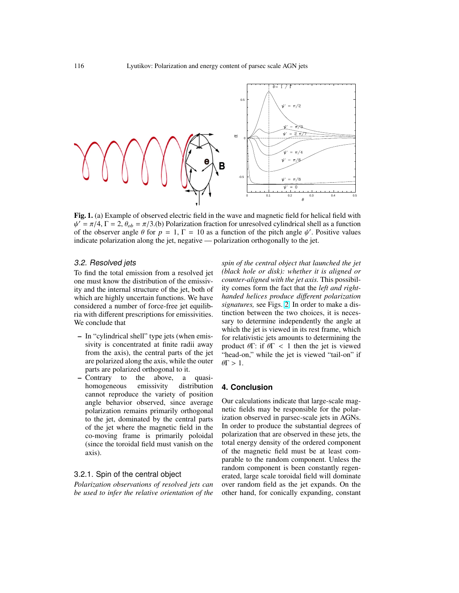<span id="page-2-0"></span>

Fig. 1. (a) Example of observed electric field in the wave and magnetic field for helical field with  $\psi' = \pi/4$ ,  $\Gamma = 2$ ,  $\theta_{ob} = \pi/3$ .(b) Polarization fraction for unresolved cylindrical shell as a function of the observer angle  $\theta$  for  $p = 1$ ,  $\Gamma = 10$  as a function of the pitch angle  $\psi'$ . Positive values indicate polarization along the jet, negative — polarization orthogonally to the jet.

## 3.2. Resolved jets

To find the total emission from a resolved jet one must know the distribution of the emissivity and the internal structure of the jet, both of which are highly uncertain functions. We have considered a number of force-free jet equilibria with different prescriptions for emissivities. We conclude that

- In "cylindrical shell" type jets (when emissivity is concentrated at finite radii away from the axis), the central parts of the jet are polarized along the axis, while the outer parts are polarized orthogonal to it.
- Contrary to the above, a quasihomogeneous emissivity distribution cannot reproduce the variety of position angle behavior observed, since average polarization remains primarily orthogonal to the jet, dominated by the central parts of the jet where the magnetic field in the co-moving frame is primarily poloidal (since the toroidal field must vanish on the axis).

## 3.2.1. Spin of the central object

*Polarization observations of resolved jets can be used to infer the relative orientation of the* *spin of the central object that launched the jet (black hole or disk): whether it is aligned or counter-aligned with the jet axis.* This possibility comes form the fact that the *left and righthanded helices produce di*ff*erent polarization signatures,* see Figs. [2.](#page-3-0) In order to make a distinction between the two choices, it is necessary to determine independently the angle at which the jet is viewed in its rest frame, which for relativistic jets amounts to determining the product  $θ\Gamma$ : if  $θ\Gamma$  < 1 then the jet is viewed "head-on," while the jet is viewed "tail-on" if  $\theta \Gamma > 1$ .

#### **4. Conclusion**

Our calculations indicate that large-scale magnetic fields may be responsible for the polarization observed in parsec-scale jets in AGNs. In order to produce the substantial degrees of polarization that are observed in these jets, the total energy density of the ordered component of the magnetic field must be at least comparable to the random component. Unless the random component is been constantly regenerated, large scale toroidal field will dominate over random field as the jet expands. On the other hand, for conically expanding, constant